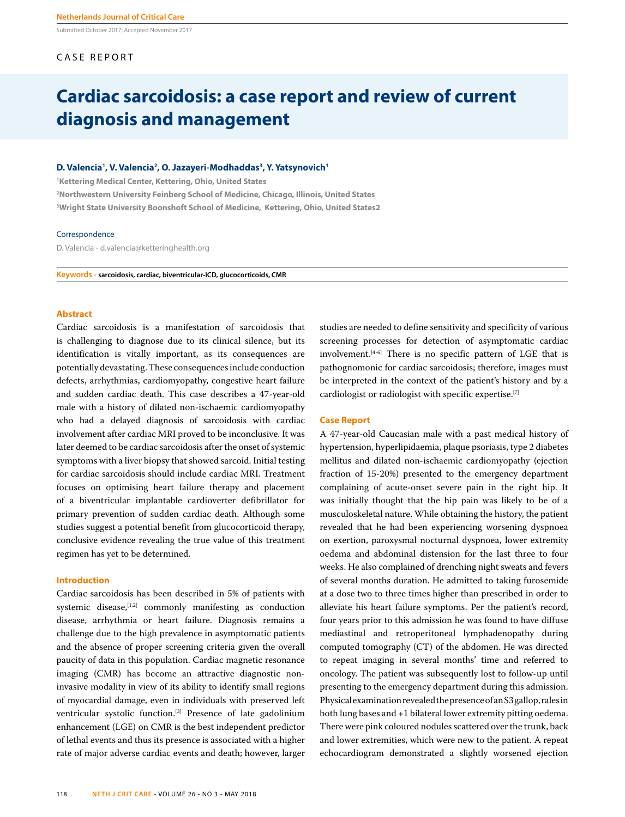Submitted October 2017; Accepted November 2017

## CASE REPORT

# **Cardiac sarcoidosis: a case report and review of current diagnosis and management**

#### D. Valencia<sup>1</sup>, V. Valencia<sup>2</sup>, O. Jazayeri-Modhaddas<sup>3</sup>, Y. Yatsynovich<sup>1</sup>

**1 Kettering Medical Center, Kettering, Ohio, United States 2 Northwestern University Feinberg School of Medicine, Chicago, Illinois, United States 3 Wright State University Boonshoft School of Medicine, Kettering, Ohio, United States2**

#### Correspondence

D. Valencia - d.valencia@ketteringhealth.org

**Keywords - sarcoidosis, cardiac, biventricular-ICD, glucocorticoids, CMR**

## **Abstract**

Cardiac sarcoidosis is a manifestation of sarcoidosis that is challenging to diagnose due to its clinical silence, but its identification is vitally important, as its consequences are potentially devastating. These consequences include conduction defects, arrhythmias, cardiomyopathy, congestive heart failure and sudden cardiac death. This case describes a 47-year-old male with a history of dilated non-ischaemic cardiomyopathy who had a delayed diagnosis of sarcoidosis with cardiac involvement after cardiac MRI proved to be inconclusive. It was later deemed to be cardiac sarcoidosis after the onset of systemic symptoms with a liver biopsy that showed sarcoid. Initial testing for cardiac sarcoidosis should include cardiac MRI. Treatment focuses on optimising heart failure therapy and placement of a biventricular implantable cardioverter defibrillator for primary prevention of sudden cardiac death. Although some studies suggest a potential benefit from glucocorticoid therapy, conclusive evidence revealing the true value of this treatment regimen has yet to be determined.

#### **Introduction**

Cardiac sarcoidosis has been described in 5% of patients with systemic disease,  $[1,2]$  commonly manifesting as conduction disease, arrhythmia or heart failure. Diagnosis remains a challenge due to the high prevalence in asymptomatic patients and the absence of proper screening criteria given the overall paucity of data in this population. Cardiac magnetic resonance imaging (CMR) has become an attractive diagnostic noninvasive modality in view of its ability to identify small regions of myocardial damage, even in individuals with preserved left ventricular systolic function.<sup>[3]</sup> Presence of late gadolinium enhancement (LGE) on CMR is the best independent predictor of lethal events and thus its presence is associated with a higher rate of major adverse cardiac events and death; however, larger

118 **NETH J CRIT CARE** - VOLUME 26 - NO 3 - MAY 2018

studies are needed to define sensitivity and specificity of various screening processes for detection of asymptomatic cardiac involvement.<sup>[4-6]</sup> There is no specific pattern of LGE that is pathognomonic for cardiac sarcoidosis; therefore, images must be interpreted in the context of the patient's history and by a cardiologist or radiologist with specific expertise.[7]

#### **Case Report**

A 47-year-old Caucasian male with a past medical history of hypertension, hyperlipidaemia, plaque psoriasis, type 2 diabetes mellitus and dilated non-ischaemic cardiomyopathy (ejection fraction of 15-20%) presented to the emergency department complaining of acute-onset severe pain in the right hip. It was initially thought that the hip pain was likely to be of a musculoskeletal nature. While obtaining the history, the patient revealed that he had been experiencing worsening dyspnoea on exertion, paroxysmal nocturnal dyspnoea, lower extremity oedema and abdominal distension for the last three to four weeks. He also complained of drenching night sweats and fevers of several months duration. He admitted to taking furosemide at a dose two to three times higher than prescribed in order to alleviate his heart failure symptoms. Per the patient's record, four years prior to this admission he was found to have diffuse mediastinal and retroperitoneal lymphadenopathy during computed tomography (CT) of the abdomen. He was directed to repeat imaging in several months' time and referred to oncology. The patient was subsequently lost to follow-up until presenting to the emergency department during this admission. Physical examination revealed the presence of an S3 gallop, rales in both lung bases and +1 bilateral lower extremity pitting oedema. There were pink coloured nodules scattered over the trunk, back and lower extremities, which were new to the patient. A repeat echocardiogram demonstrated a slightly worsened ejection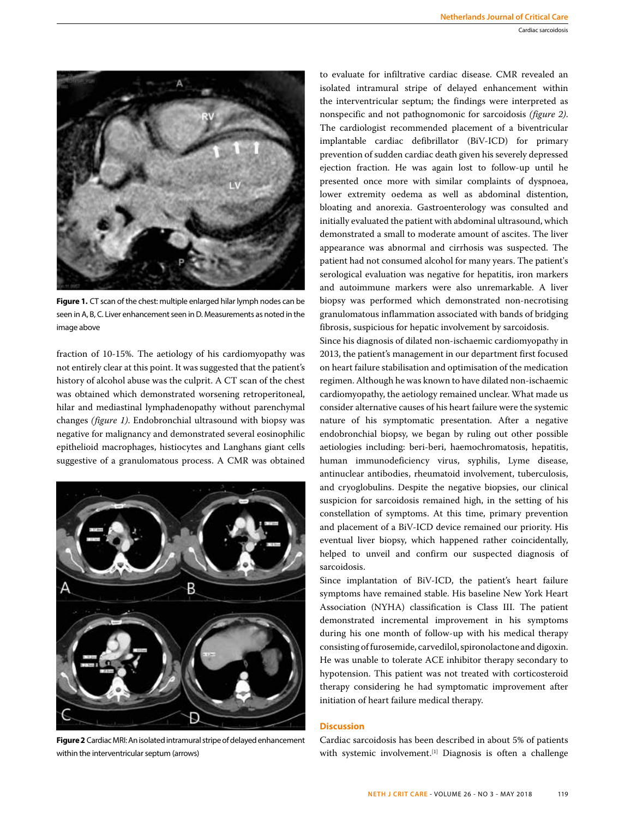

**Figure 1.** CT scan of the chest: multiple enlarged hilar lymph nodes can be seen in A, B, C. Liver enhancement seen in D. Measurements as noted in the image above

fraction of 10-15%. The aetiology of his cardiomyopathy was not entirely clear at this point. It was suggested that the patient's history of alcohol abuse was the culprit. A CT scan of the chest was obtained which demonstrated worsening retroperitoneal, hilar and mediastinal lymphadenopathy without parenchymal changes *(figure 1)*. Endobronchial ultrasound with biopsy was negative for malignancy and demonstrated several eosinophilic epithelioid macrophages, histiocytes and Langhans giant cells suggestive of a granulomatous process. A CMR was obtained



**Figure 2** Cardiac MRI: An isolated intramural stripe of delayed enhancement within the interventricular septum (arrows)

to evaluate for infiltrative cardiac disease. CMR revealed an isolated intramural stripe of delayed enhancement within the interventricular septum; the findings were interpreted as nonspecific and not pathognomonic for sarcoidosis *(figure 2)*. The cardiologist recommended placement of a biventricular implantable cardiac defibrillator (BiV-ICD) for primary prevention of sudden cardiac death given his severely depressed ejection fraction. He was again lost to follow-up until he presented once more with similar complaints of dyspnoea, lower extremity oedema as well as abdominal distention, bloating and anorexia. Gastroenterology was consulted and initially evaluated the patient with abdominal ultrasound, which demonstrated a small to moderate amount of ascites. The liver appearance was abnormal and cirrhosis was suspected. The patient had not consumed alcohol for many years. The patient's serological evaluation was negative for hepatitis, iron markers and autoimmune markers were also unremarkable. A liver biopsy was performed which demonstrated non-necrotising granulomatous inflammation associated with bands of bridging fibrosis, suspicious for hepatic involvement by sarcoidosis.

Since his diagnosis of dilated non-ischaemic cardiomyopathy in 2013, the patient's management in our department first focused on heart failure stabilisation and optimisation of the medication regimen. Although he was known to have dilated non-ischaemic cardiomyopathy, the aetiology remained unclear. What made us consider alternative causes of his heart failure were the systemic nature of his symptomatic presentation. After a negative endobronchial biopsy, we began by ruling out other possible aetiologies including: beri-beri, haemochromatosis, hepatitis, human immunodeficiency virus, syphilis, Lyme disease, antinuclear antibodies, rheumatoid involvement, tuberculosis, and cryoglobulins. Despite the negative biopsies, our clinical suspicion for sarcoidosis remained high, in the setting of his constellation of symptoms. At this time, primary prevention and placement of a BiV-ICD device remained our priority. His eventual liver biopsy, which happened rather coincidentally, helped to unveil and confirm our suspected diagnosis of sarcoidosis.

Since implantation of BiV-ICD, the patient's heart failure symptoms have remained stable. His baseline New York Heart Association (NYHA) classification is Class III. The patient demonstrated incremental improvement in his symptoms during his one month of follow-up with his medical therapy consisting of furosemide, carvedilol, spironolactone and digoxin. He was unable to tolerate ACE inhibitor therapy secondary to hypotension. This patient was not treated with corticosteroid therapy considering he had symptomatic improvement after initiation of heart failure medical therapy.

# **Discussion**

Cardiac sarcoidosis has been described in about 5% of patients with systemic involvement.<sup>[1]</sup> Diagnosis is often a challenge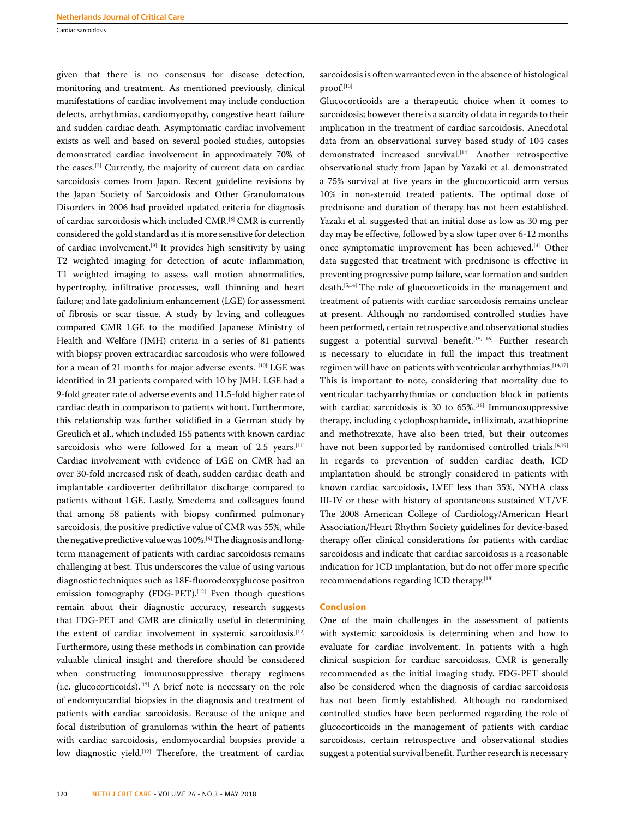Cardiac sarcoidosis

given that there is no consensus for disease detection, monitoring and treatment. As mentioned previously, clinical manifestations of cardiac involvement may include conduction defects, arrhythmias, cardiomyopathy, congestive heart failure and sudden cardiac death. Asymptomatic cardiac involvement exists as well and based on several pooled studies, autopsies demonstrated cardiac involvement in approximately 70% of the cases.[2] Currently, the majority of current data on cardiac sarcoidosis comes from Japan. Recent guideline revisions by the Japan Society of Sarcoidosis and Other Granulomatous Disorders in 2006 had provided updated criteria for diagnosis of cardiac sarcoidosis which included CMR.[8] CMR is currently considered the gold standard as it is more sensitive for detection of cardiac involvement.[9] It provides high sensitivity by using T2 weighted imaging for detection of acute inflammation, T1 weighted imaging to assess wall motion abnormalities, hypertrophy, infiltrative processes, wall thinning and heart failure; and late gadolinium enhancement (LGE) for assessment of fibrosis or scar tissue. A study by Irving and colleagues compared CMR LGE to the modified Japanese Ministry of Health and Welfare (JMH) criteria in a series of 81 patients with biopsy proven extracardiac sarcoidosis who were followed for a mean of 21 months for major adverse events. [10] LGE was identified in 21 patients compared with 10 by JMH. LGE had a 9-fold greater rate of adverse events and 11.5-fold higher rate of cardiac death in comparison to patients without. Furthermore, this relationship was further solidified in a German study by Greulich et al., which included 155 patients with known cardiac sarcoidosis who were followed for a mean of 2.5 years.<sup>[11]</sup> Cardiac involvement with evidence of LGE on CMR had an over 30-fold increased risk of death, sudden cardiac death and implantable cardioverter defibrillator discharge compared to patients without LGE. Lastly, Smedema and colleagues found that among 58 patients with biopsy confirmed pulmonary sarcoidosis, the positive predictive value of CMR was 55%, while the negative predictive value was 100%.[6] The diagnosis and longterm management of patients with cardiac sarcoidosis remains challenging at best. This underscores the value of using various diagnostic techniques such as 18F-fluorodeoxyglucose positron emission tomography (FDG-PET).<sup>[12]</sup> Even though questions remain about their diagnostic accuracy, research suggests that FDG-PET and CMR are clinically useful in determining the extent of cardiac involvement in systemic sarcoidosis.<sup>[12]</sup> Furthermore, using these methods in combination can provide valuable clinical insight and therefore should be considered when constructing immunosuppressive therapy regimens (i.e. glucocorticoids).<sup>[12]</sup> A brief note is necessary on the role of endomyocardial biopsies in the diagnosis and treatment of patients with cardiac sarcoidosis. Because of the unique and focal distribution of granulomas within the heart of patients with cardiac sarcoidosis, endomyocardial biopsies provide a low diagnostic yield.<sup>[12]</sup> Therefore, the treatment of cardiac sarcoidosis is often warranted even in the absence of histological proof.[13]

Glucocorticoids are a therapeutic choice when it comes to sarcoidosis; however there is a scarcity of data in regards to their implication in the treatment of cardiac sarcoidosis. Anecdotal data from an observational survey based study of 104 cases demonstrated increased survival.<sup>[14]</sup> Another retrospective observational study from Japan by Yazaki et al. demonstrated a 75% survival at five years in the glucocorticoid arm versus 10% in non-steroid treated patients. The optimal dose of prednisone and duration of therapy has not been established. Yazaki et al. suggested that an initial dose as low as 30 mg per day may be effective, followed by a slow taper over 6-12 months once symptomatic improvement has been achieved.[4] Other data suggested that treatment with prednisone is effective in preventing progressive pump failure, scar formation and sudden death.[5,14] The role of glucocorticoids in the management and treatment of patients with cardiac sarcoidosis remains unclear at present. Although no randomised controlled studies have been performed, certain retrospective and observational studies suggest a potential survival benefit.<sup>[15, 16]</sup> Further research is necessary to elucidate in full the impact this treatment regimen will have on patients with ventricular arrhythmias.<sup>[14,17]</sup> This is important to note, considering that mortality due to ventricular tachyarrhythmias or conduction block in patients with cardiac sarcoidosis is 30 to 65%.[18] Immunosuppressive therapy, including cyclophosphamide, infliximab, azathioprine and methotrexate, have also been tried, but their outcomes have not been supported by randomised controlled trials.<sup>[6,19]</sup> In regards to prevention of sudden cardiac death, ICD implantation should be strongly considered in patients with known cardiac sarcoidosis, LVEF less than 35%, NYHA class III-IV or those with history of spontaneous sustained VT/VF. The 2008 American College of Cardiology/American Heart Association/Heart Rhythm Society guidelines for device-based therapy offer clinical considerations for patients with cardiac sarcoidosis and indicate that cardiac sarcoidosis is a reasonable indication for ICD implantation, but do not offer more specific recommendations regarding ICD therapy.[18]

# **Conclusion**

One of the main challenges in the assessment of patients with systemic sarcoidosis is determining when and how to evaluate for cardiac involvement. In patients with a high clinical suspicion for cardiac sarcoidosis, CMR is generally recommended as the initial imaging study. FDG-PET should also be considered when the diagnosis of cardiac sarcoidosis has not been firmly established. Although no randomised controlled studies have been performed regarding the role of glucocorticoids in the management of patients with cardiac sarcoidosis, certain retrospective and observational studies suggest a potential survival benefit. Further research is necessary